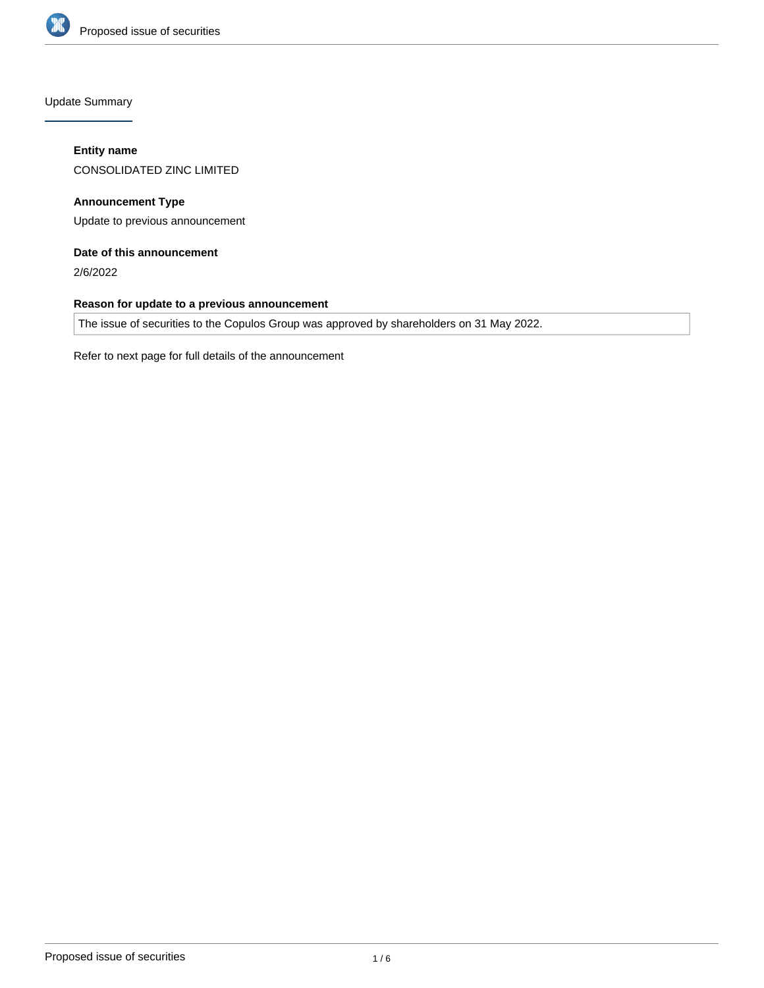

Update Summary

# **Entity name**

CONSOLIDATED ZINC LIMITED

**Announcement Type** Update to previous announcement

# **Date of this announcement**

2/6/2022

# **Reason for update to a previous announcement**

The issue of securities to the Copulos Group was approved by shareholders on 31 May 2022.

Refer to next page for full details of the announcement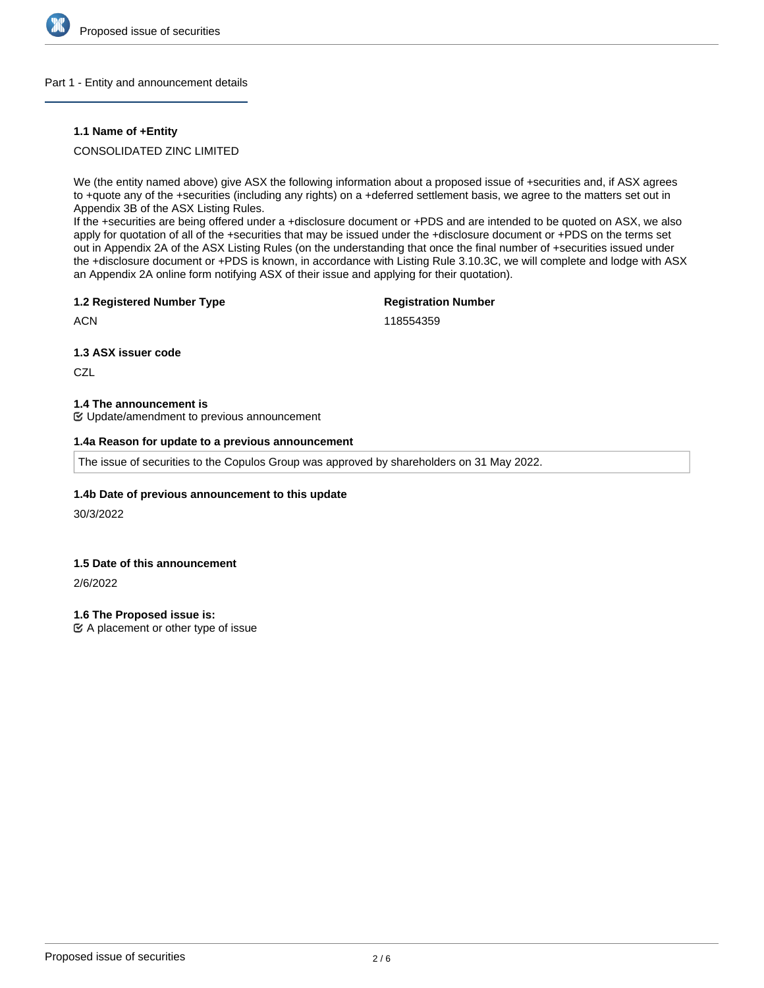

#### Part 1 - Entity and announcement details

### **1.1 Name of +Entity**

# CONSOLIDATED ZINC LIMITED

We (the entity named above) give ASX the following information about a proposed issue of +securities and, if ASX agrees to +quote any of the +securities (including any rights) on a +deferred settlement basis, we agree to the matters set out in Appendix 3B of the ASX Listing Rules.

If the +securities are being offered under a +disclosure document or +PDS and are intended to be quoted on ASX, we also apply for quotation of all of the +securities that may be issued under the +disclosure document or +PDS on the terms set out in Appendix 2A of the ASX Listing Rules (on the understanding that once the final number of +securities issued under the +disclosure document or +PDS is known, in accordance with Listing Rule 3.10.3C, we will complete and lodge with ASX an Appendix 2A online form notifying ASX of their issue and applying for their quotation).

#### **1.2 Registered Number Type**

# **Registration Number**

**ACN** 

118554359

### **1.3 ASX issuer code**

**CZL** 

#### **1.4 The announcement is**

Update/amendment to previous announcement

### **1.4a Reason for update to a previous announcement**

The issue of securities to the Copulos Group was approved by shareholders on 31 May 2022.

### **1.4b Date of previous announcement to this update**

30/3/2022

### **1.5 Date of this announcement**

2/6/2022

**1.6 The Proposed issue is:**

 $\mathfrak{C}$  A placement or other type of issue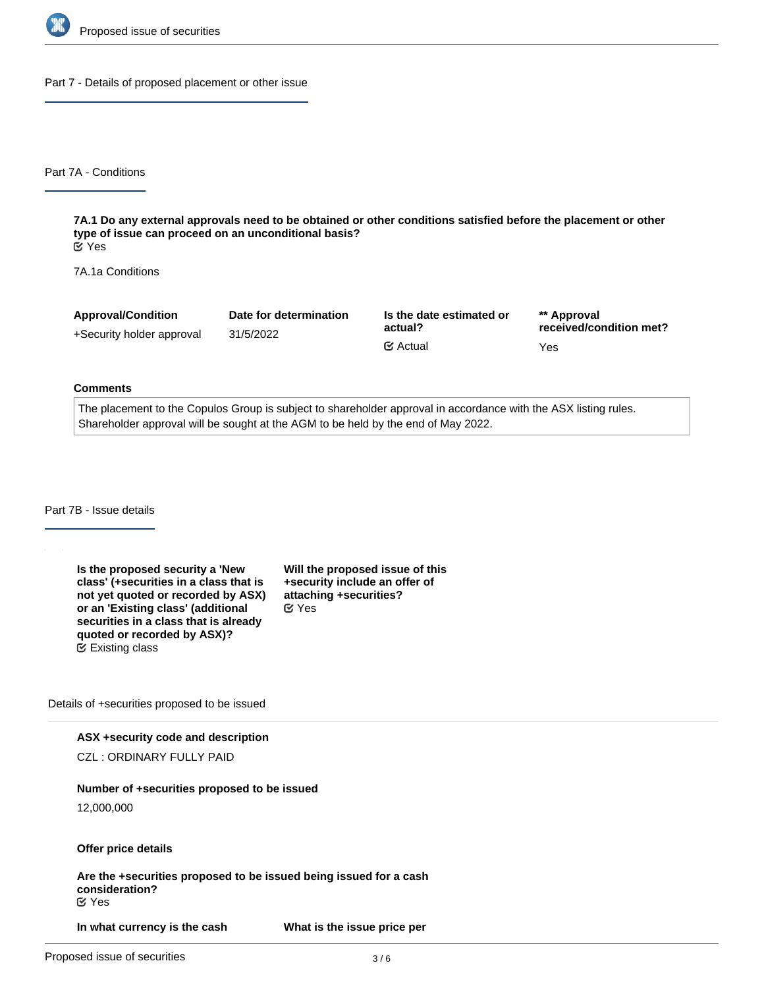

Part 7 - Details of proposed placement or other issue

Part 7A - Conditions

**7A.1 Do any external approvals need to be obtained or other conditions satisfied before the placement or other type of issue can proceed on an unconditional basis?** Yes

7A.1a Conditions

| <b>Approval/Condition</b> | Date for determination | Is the date estimated or<br>actual? | ** Approval             |
|---------------------------|------------------------|-------------------------------------|-------------------------|
| +Security holder approval | 31/5/2022              |                                     | received/condition met? |
|                           |                        | <b></b> i⊠ Actual                   | Yes                     |

#### **Comments**

The placement to the Copulos Group is subject to shareholder approval in accordance with the ASX listing rules. Shareholder approval will be sought at the AGM to be held by the end of May 2022.

Part 7B - Issue details

**Is the proposed security a 'New class' (+securities in a class that is not yet quoted or recorded by ASX) or an 'Existing class' (additional securities in a class that is already quoted or recorded by ASX)?** Existing class

**Will the proposed issue of this +security include an offer of attaching +securities?** Yes

Details of +securities proposed to be issued

#### **ASX +security code and description**

CZL : ORDINARY FULLY PAID

#### **Number of +securities proposed to be issued**

12,000,000

#### **Offer price details**

**Are the +securities proposed to be issued being issued for a cash consideration?** Yes

**In what currency is the cash consideration being paid?**

**What is the issue price per**

**+security?**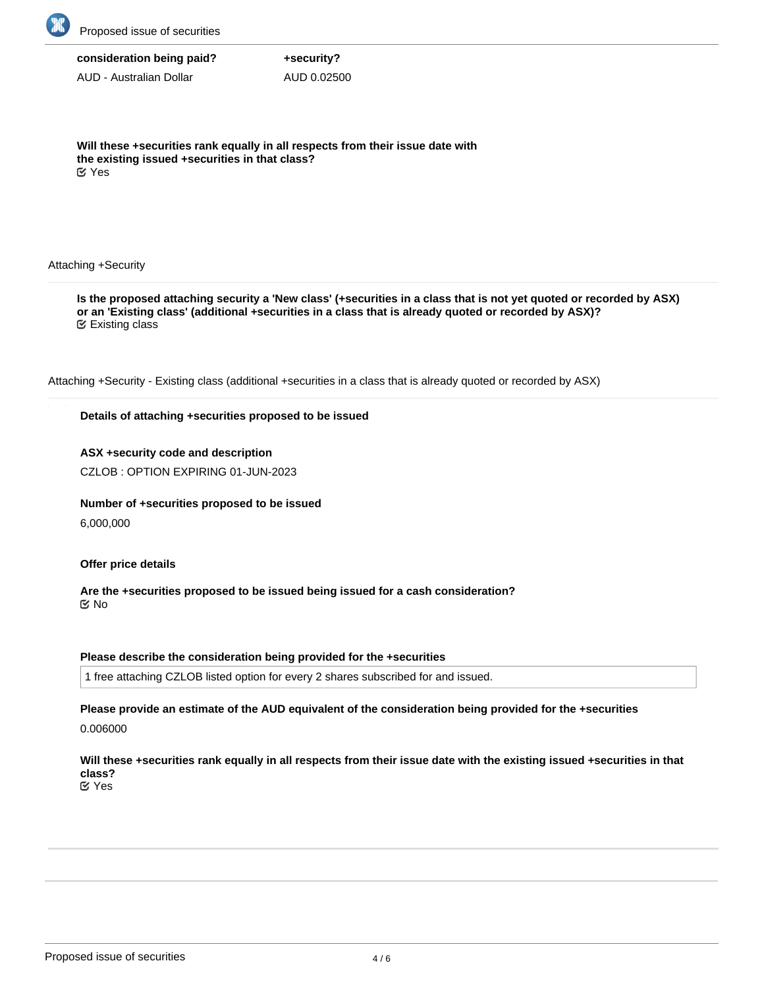

# **consideration being paid?**

AUD - Australian Dollar

**+security?** AUD 0.02500

**Will these +securities rank equally in all respects from their issue date with the existing issued +securities in that class?** Yes

### Attaching +Security

**Is the proposed attaching security a 'New class' (+securities in a class that is not yet quoted or recorded by ASX) or an 'Existing class' (additional +securities in a class that is already quoted or recorded by ASX)?** Existing class

Attaching +Security - Existing class (additional +securities in a class that is already quoted or recorded by ASX)

# **Details of attaching +securities proposed to be issued**

# **ASX +security code and description**

CZLOB : OPTION EXPIRING 01-JUN-2023

### **Number of +securities proposed to be issued**

6,000,000

### **Offer price details**

**Are the +securities proposed to be issued being issued for a cash consideration?** No

### **Please describe the consideration being provided for the +securities**

1 free attaching CZLOB listed option for every 2 shares subscribed for and issued.

### **Please provide an estimate of the AUD equivalent of the consideration being provided for the +securities**

0.006000

**Will these +securities rank equally in all respects from their issue date with the existing issued +securities in that class?** Yes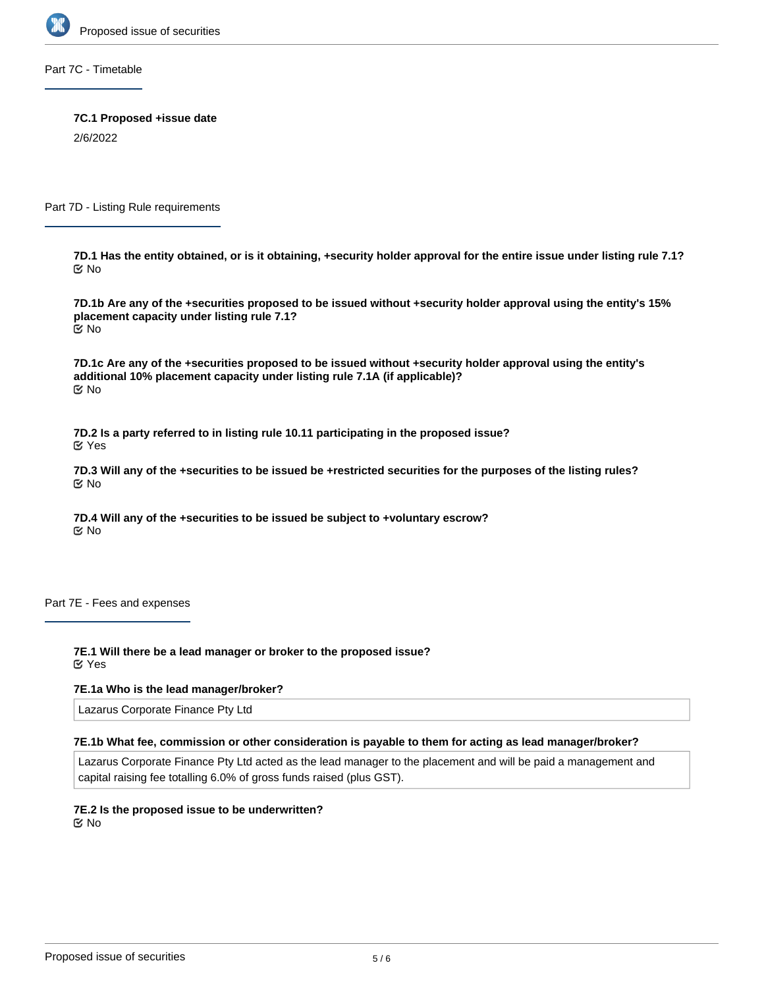

Part 7C - Timetable

**7C.1 Proposed +issue date** 2/6/2022

Part 7D - Listing Rule requirements

**7D.1 Has the entity obtained, or is it obtaining, +security holder approval for the entire issue under listing rule 7.1?** No

**7D.1b Are any of the +securities proposed to be issued without +security holder approval using the entity's 15% placement capacity under listing rule 7.1?** No

**7D.1c Are any of the +securities proposed to be issued without +security holder approval using the entity's additional 10% placement capacity under listing rule 7.1A (if applicable)?** No

**7D.2 Is a party referred to in listing rule 10.11 participating in the proposed issue?** Yes

**7D.3 Will any of the +securities to be issued be +restricted securities for the purposes of the listing rules?** No

**7D.4 Will any of the +securities to be issued be subject to +voluntary escrow?** No

Part 7E - Fees and expenses

**7E.1 Will there be a lead manager or broker to the proposed issue?** Yes

### **7E.1a Who is the lead manager/broker?**

Lazarus Corporate Finance Pty Ltd

## **7E.1b What fee, commission or other consideration is payable to them for acting as lead manager/broker?**

Lazarus Corporate Finance Pty Ltd acted as the lead manager to the placement and will be paid a management and capital raising fee totalling 6.0% of gross funds raised (plus GST).

**7E.2 Is the proposed issue to be underwritten?** No